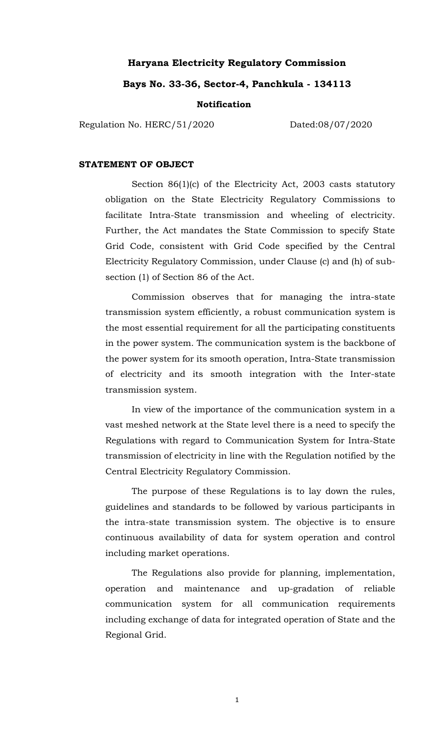#### **Haryana Electricity Regulatory Commission**

#### **Bays No. 33-36, Sector-4, Panchkula - 134113**

#### **Notification**

Regulation No. HERC/51/2020 Dated:08/07/2020

#### **STATEMENT OF OBJECT**

Section 86(1)(c) of the Electricity Act, 2003 casts statutory obligation on the State Electricity Regulatory Commissions to facilitate Intra-State transmission and wheeling of electricity. Further, the Act mandates the State Commission to specify State Grid Code, consistent with Grid Code specified by the Central Electricity Regulatory Commission, under Clause (c) and (h) of subsection (1) of Section 86 of the Act.

Commission observes that for managing the intra-state transmission system efficiently, a robust communication system is the most essential requirement for all the participating constituents in the power system. The communication system is the backbone of the power system for its smooth operation, Intra-State transmission of electricity and its smooth integration with the Inter-state transmission system.

In view of the importance of the communication system in a vast meshed network at the State level there is a need to specify the Regulations with regard to Communication System for Intra-State transmission of electricity in line with the Regulation notified by the Central Electricity Regulatory Commission.

The purpose of these Regulations is to lay down the rules, guidelines and standards to be followed by various participants in the intra-state transmission system. The objective is to ensure continuous availability of data for system operation and control including market operations.

The Regulations also provide for planning, implementation, operation and maintenance and up-gradation of reliable communication system for all communication requirements including exchange of data for integrated operation of State and the Regional Grid.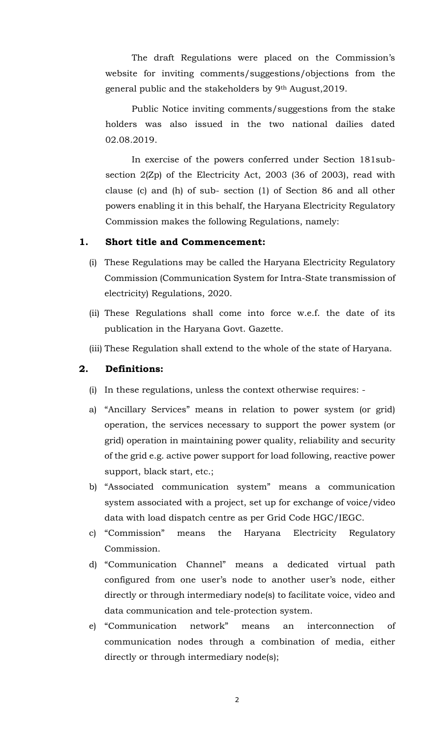The draft Regulations were placed on the Commission's website for inviting comments/suggestions/objections from the general public and the stakeholders by 9th August,2019.

Public Notice inviting comments/suggestions from the stake holders was also issued in the two national dailies dated 02.08.2019.

In exercise of the powers conferred under Section 181subsection 2(Zp) of the Electricity Act, 2003 (36 of 2003), read with clause (c) and (h) of sub- section (1) of Section 86 and all other powers enabling it in this behalf, the Haryana Electricity Regulatory Commission makes the following Regulations, namely:

## **1. Short title and Commencement:**

- (i) These Regulations may be called the Haryana Electricity Regulatory Commission (Communication System for Intra-State transmission of electricity) Regulations, 2020.
- (ii) These Regulations shall come into force w.e.f. the date of its publication in the Haryana Govt. Gazette.
- (iii) These Regulation shall extend to the whole of the state of Haryana.

#### **2. Definitions:**

- (i) In these regulations, unless the context otherwise requires: -
- a) "Ancillary Services" means in relation to power system (or grid) operation, the services necessary to support the power system (or grid) operation in maintaining power quality, reliability and security of the grid e.g. active power support for load following, reactive power support, black start, etc.;
- b) "Associated communication system" means a communication system associated with a project, set up for exchange of voice/video data with load dispatch centre as per Grid Code HGC/IEGC.
- c) "Commission" means the Haryana Electricity Regulatory Commission.
- d) "Communication Channel" means a dedicated virtual path configured from one user's node to another user's node, either directly or through intermediary node(s) to facilitate voice, video and data communication and tele-protection system.
- e) "Communication network" means an interconnection of communication nodes through a combination of media, either directly or through intermediary node(s);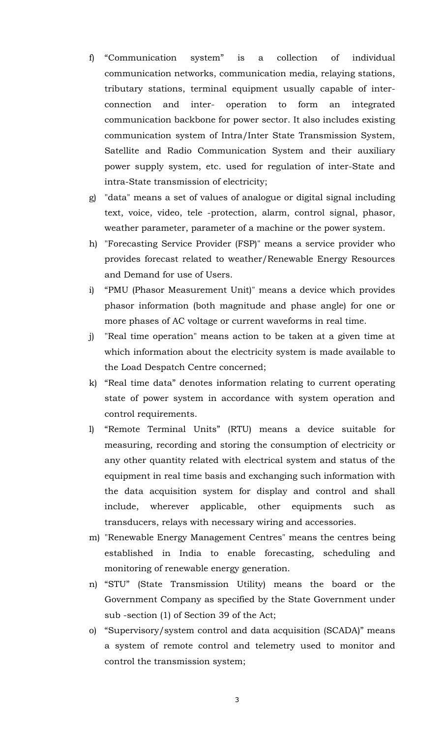- f) "Communication system" is a collection of individual communication networks, communication media, relaying stations, tributary stations, terminal equipment usually capable of interconnection and inter- operation to form an integrated communication backbone for power sector. It also includes existing communication system of Intra/Inter State Transmission System, Satellite and Radio Communication System and their auxiliary power supply system, etc. used for regulation of inter-State and intra-State transmission of electricity;
- g) "data" means a set of values of analogue or digital signal including text, voice, video, tele -protection, alarm, control signal, phasor, weather parameter, parameter of a machine or the power system.
- h) "Forecasting Service Provider (FSP)" means a service provider who provides forecast related to weather/Renewable Energy Resources and Demand for use of Users.
- i) "PMU (Phasor Measurement Unit)" means a device which provides phasor information (both magnitude and phase angle) for one or more phases of AC voltage or current waveforms in real time.
- j) "Real time operation" means action to be taken at a given time at which information about the electricity system is made available to the Load Despatch Centre concerned;
- k) "Real time data" denotes information relating to current operating state of power system in accordance with system operation and control requirements.
- l) "Remote Terminal Units" (RTU) means a device suitable for measuring, recording and storing the consumption of electricity or any other quantity related with electrical system and status of the equipment in real time basis and exchanging such information with the data acquisition system for display and control and shall include, wherever applicable, other equipments such as transducers, relays with necessary wiring and accessories.
- m) "Renewable Energy Management Centres" means the centres being established in India to enable forecasting, scheduling and monitoring of renewable energy generation.
- n) "STU" (State Transmission Utility) means the board or the Government Company as specified by the State Government under sub -section (1) of Section 39 of the Act;
- o) "Supervisory/system control and data acquisition (SCADA)" means a system of remote control and telemetry used to monitor and control the transmission system;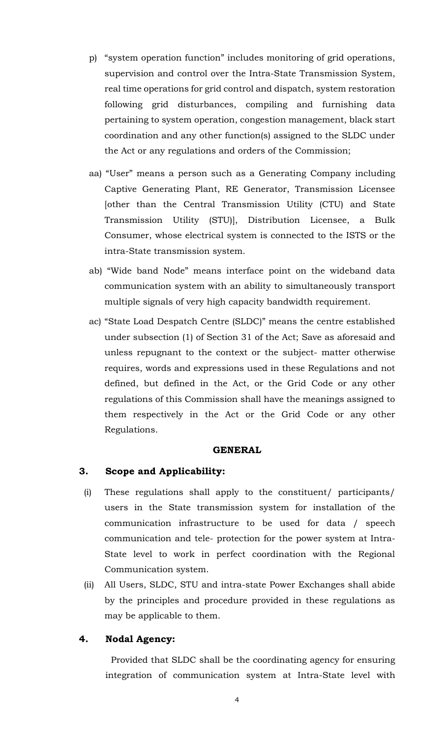- p) "system operation function" includes monitoring of grid operations, supervision and control over the Intra-State Transmission System, real time operations for grid control and dispatch, system restoration following grid disturbances, compiling and furnishing data pertaining to system operation, congestion management, black start coordination and any other function(s) assigned to the SLDC under the Act or any regulations and orders of the Commission;
- aa) "User" means a person such as a Generating Company including Captive Generating Plant, RE Generator, Transmission Licensee [other than the Central Transmission Utility (CTU) and State Transmission Utility (STU)], Distribution Licensee, a Bulk Consumer, whose electrical system is connected to the ISTS or the intra-State transmission system.
- ab) "Wide band Node" means interface point on the wideband data communication system with an ability to simultaneously transport multiple signals of very high capacity bandwidth requirement.
- ac) "State Load Despatch Centre (SLDC)" means the centre established under subsection (1) of Section 31 of the Act; Save as aforesaid and unless repugnant to the context or the subject- matter otherwise requires, words and expressions used in these Regulations and not defined, but defined in the Act, or the Grid Code or any other regulations of this Commission shall have the meanings assigned to them respectively in the Act or the Grid Code or any other Regulations.

#### **GENERAL**

# **3. Scope and Applicability:**

- (i) These regulations shall apply to the constituent/ participants/ users in the State transmission system for installation of the communication infrastructure to be used for data / speech communication and tele- protection for the power system at Intra-State level to work in perfect coordination with the Regional Communication system.
- (ii) All Users, SLDC, STU and intra-state Power Exchanges shall abide by the principles and procedure provided in these regulations as may be applicable to them.

# **4. Nodal Agency:**

Provided that SLDC shall be the coordinating agency for ensuring integration of communication system at Intra-State level with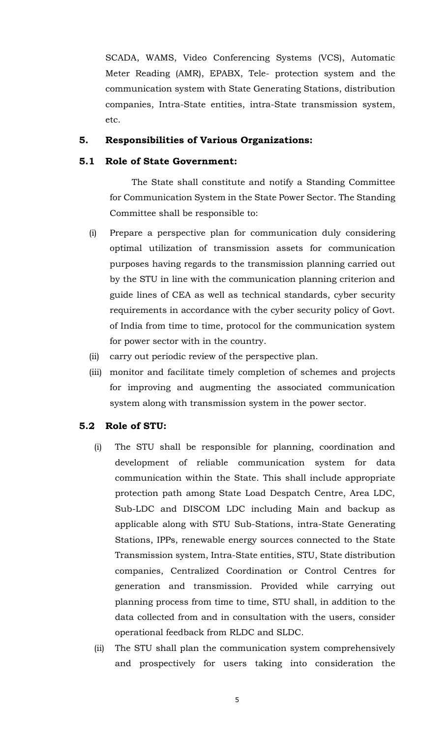SCADA, WAMS, Video Conferencing Systems (VCS), Automatic Meter Reading (AMR), EPABX, Tele- protection system and the communication system with State Generating Stations, distribution companies, Intra-State entities, intra-State transmission system, etc.

# **5. Responsibilities of Various Organizations:**

# **5.1 Role of State Government:**

 The State shall constitute and notify a Standing Committee for Communication System in the State Power Sector. The Standing Committee shall be responsible to:

- (i) Prepare a perspective plan for communication duly considering optimal utilization of transmission assets for communication purposes having regards to the transmission planning carried out by the STU in line with the communication planning criterion and guide lines of CEA as well as technical standards, cyber security requirements in accordance with the cyber security policy of Govt. of India from time to time, protocol for the communication system for power sector with in the country.
- (ii) carry out periodic review of the perspective plan.
- (iii) monitor and facilitate timely completion of schemes and projects for improving and augmenting the associated communication system along with transmission system in the power sector.

# **5.2 Role of STU:**

- (i) The STU shall be responsible for planning, coordination and development of reliable communication system for data communication within the State. This shall include appropriate protection path among State Load Despatch Centre, Area LDC, Sub-LDC and DISCOM LDC including Main and backup as applicable along with STU Sub-Stations, intra-State Generating Stations, IPPs, renewable energy sources connected to the State Transmission system, Intra-State entities, STU, State distribution companies, Centralized Coordination or Control Centres for generation and transmission. Provided while carrying out planning process from time to time, STU shall, in addition to the data collected from and in consultation with the users, consider operational feedback from RLDC and SLDC.
- (ii) The STU shall plan the communication system comprehensively and prospectively for users taking into consideration the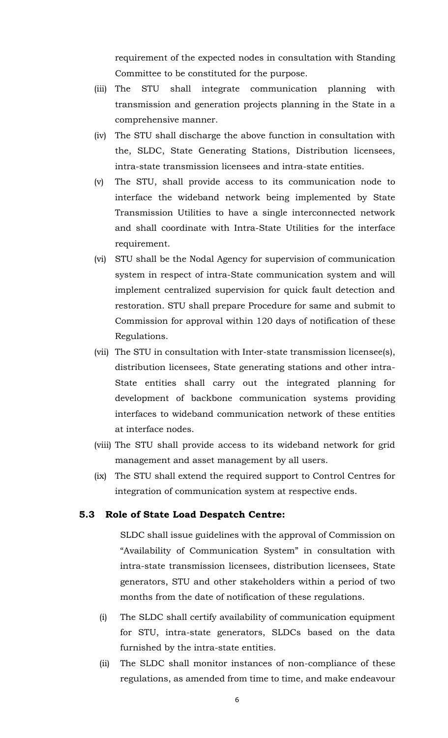requirement of the expected nodes in consultation with Standing Committee to be constituted for the purpose.

- (iii) The STU shall integrate communication planning with transmission and generation projects planning in the State in a comprehensive manner.
- (iv) The STU shall discharge the above function in consultation with the, SLDC, State Generating Stations, Distribution licensees, intra-state transmission licensees and intra-state entities.
- (v) The STU, shall provide access to its communication node to interface the wideband network being implemented by State Transmission Utilities to have a single interconnected network and shall coordinate with Intra-State Utilities for the interface requirement.
- (vi) STU shall be the Nodal Agency for supervision of communication system in respect of intra-State communication system and will implement centralized supervision for quick fault detection and restoration. STU shall prepare Procedure for same and submit to Commission for approval within 120 days of notification of these Regulations.
- (vii) The STU in consultation with Inter-state transmission licensee(s), distribution licensees, State generating stations and other intra-State entities shall carry out the integrated planning for development of backbone communication systems providing interfaces to wideband communication network of these entities at interface nodes.
- (viii) The STU shall provide access to its wideband network for grid management and asset management by all users.
- (ix) The STU shall extend the required support to Control Centres for integration of communication system at respective ends.

#### **5.3 Role of State Load Despatch Centre:**

SLDC shall issue guidelines with the approval of Commission on "Availability of Communication System" in consultation with intra-state transmission licensees, distribution licensees, State generators, STU and other stakeholders within a period of two months from the date of notification of these regulations.

- (i) The SLDC shall certify availability of communication equipment for STU, intra-state generators, SLDCs based on the data furnished by the intra-state entities.
- (ii) The SLDC shall monitor instances of non-compliance of these regulations, as amended from time to time, and make endeavour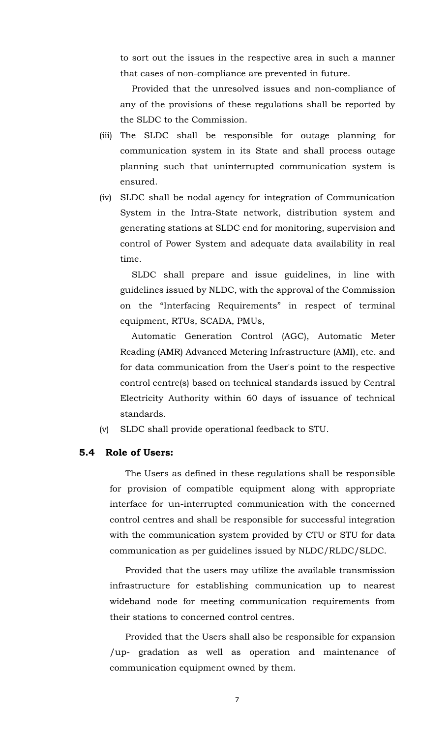to sort out the issues in the respective area in such a manner that cases of non-compliance are prevented in future.

Provided that the unresolved issues and non-compliance of any of the provisions of these regulations shall be reported by the SLDC to the Commission.

- (iii) The SLDC shall be responsible for outage planning for communication system in its State and shall process outage planning such that uninterrupted communication system is ensured.
- (iv) SLDC shall be nodal agency for integration of Communication System in the Intra-State network, distribution system and generating stations at SLDC end for monitoring, supervision and control of Power System and adequate data availability in real time.

SLDC shall prepare and issue guidelines, in line with guidelines issued by NLDC, with the approval of the Commission on the "Interfacing Requirements" in respect of terminal equipment, RTUs, SCADA, PMUs,

Automatic Generation Control (AGC), Automatic Meter Reading (AMR) Advanced Metering Infrastructure (AMI), etc. and for data communication from the User's point to the respective control centre(s) based on technical standards issued by Central Electricity Authority within 60 days of issuance of technical standards.

(v) SLDC shall provide operational feedback to STU.

## **5.4 Role of Users:**

The Users as defined in these regulations shall be responsible for provision of compatible equipment along with appropriate interface for un-interrupted communication with the concerned control centres and shall be responsible for successful integration with the communication system provided by CTU or STU for data communication as per guidelines issued by NLDC/RLDC/SLDC.

Provided that the users may utilize the available transmission infrastructure for establishing communication up to nearest wideband node for meeting communication requirements from their stations to concerned control centres.

Provided that the Users shall also be responsible for expansion /up- gradation as well as operation and maintenance of communication equipment owned by them.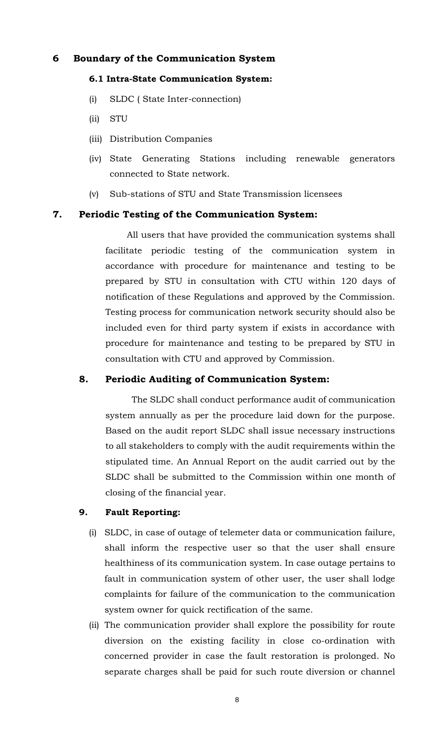# **6 Boundary of the Communication System**

#### **6.1 Intra-State Communication System:**

- (i) SLDC ( State Inter-connection)
- (ii) STU
- (iii) Distribution Companies
- (iv) State Generating Stations including renewable generators connected to State network.
- (v) Sub-stations of STU and State Transmission licensees

## **7. Periodic Testing of the Communication System:**

All users that have provided the communication systems shall facilitate periodic testing of the communication system in accordance with procedure for maintenance and testing to be prepared by STU in consultation with CTU within 120 days of notification of these Regulations and approved by the Commission. Testing process for communication network security should also be included even for third party system if exists in accordance with procedure for maintenance and testing to be prepared by STU in consultation with CTU and approved by Commission.

# **8. Periodic Auditing of Communication System:**

The SLDC shall conduct performance audit of communication system annually as per the procedure laid down for the purpose. Based on the audit report SLDC shall issue necessary instructions to all stakeholders to comply with the audit requirements within the stipulated time. An Annual Report on the audit carried out by the SLDC shall be submitted to the Commission within one month of closing of the financial year.

# **9. Fault Reporting:**

- (i) SLDC, in case of outage of telemeter data or communication failure, shall inform the respective user so that the user shall ensure healthiness of its communication system. In case outage pertains to fault in communication system of other user, the user shall lodge complaints for failure of the communication to the communication system owner for quick rectification of the same.
- (ii) The communication provider shall explore the possibility for route diversion on the existing facility in close co-ordination with concerned provider in case the fault restoration is prolonged. No separate charges shall be paid for such route diversion or channel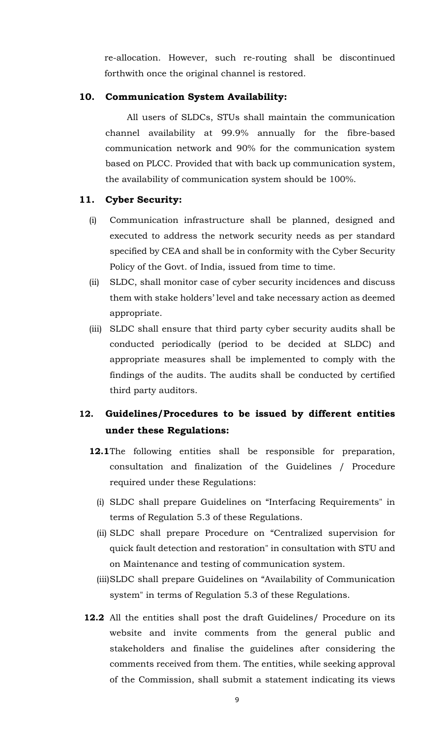re-allocation. However, such re-routing shall be discontinued forthwith once the original channel is restored.

# **10. Communication System Availability:**

All users of SLDCs, STUs shall maintain the communication channel availability at 99.9% annually for the fibre-based communication network and 90% for the communication system based on PLCC. Provided that with back up communication system, the availability of communication system should be 100%.

# **11. Cyber Security:**

- (i) Communication infrastructure shall be planned, designed and executed to address the network security needs as per standard specified by CEA and shall be in conformity with the Cyber Security Policy of the Govt. of India, issued from time to time.
- (ii) SLDC, shall monitor case of cyber security incidences and discuss them with stake holders' level and take necessary action as deemed appropriate.
- (iii) SLDC shall ensure that third party cyber security audits shall be conducted periodically (period to be decided at SLDC) and appropriate measures shall be implemented to comply with the findings of the audits. The audits shall be conducted by certified third party auditors.

# **12. Guidelines/Procedures to be issued by different entities under these Regulations:**

- **12.1**The following entities shall be responsible for preparation, consultation and finalization of the Guidelines / Procedure required under these Regulations:
	- (i) SLDC shall prepare Guidelines on "Interfacing Requirements" in terms of Regulation 5.3 of these Regulations.
	- (ii) SLDC shall prepare Procedure on "Centralized supervision for quick fault detection and restoration" in consultation with STU and on Maintenance and testing of communication system.
	- (iii)SLDC shall prepare Guidelines on "Availability of Communication system" in terms of Regulation 5.3 of these Regulations.
- **12.2** All the entities shall post the draft Guidelines/ Procedure on its website and invite comments from the general public and stakeholders and finalise the guidelines after considering the comments received from them. The entities, while seeking approval of the Commission, shall submit a statement indicating its views